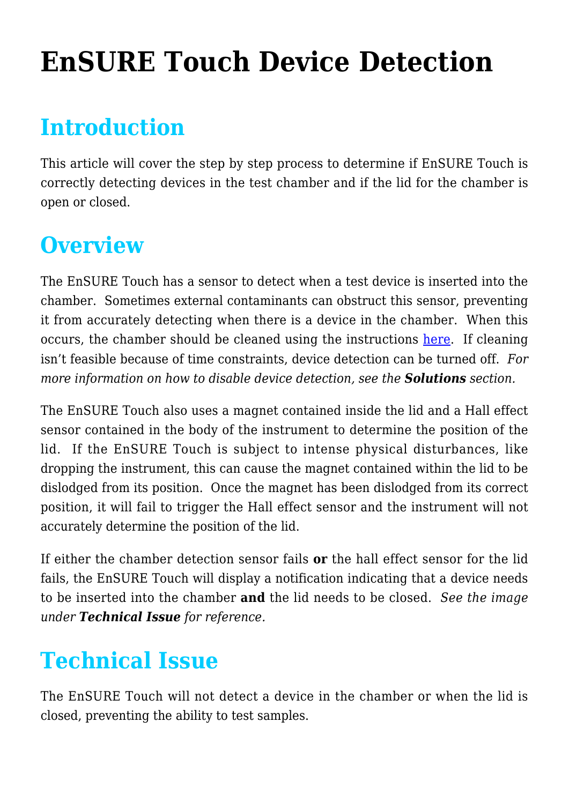# **[EnSURE Touch Device Detection](https://help.hygiena.com/kb-doc/ensure-touch-device-detection/)**

#### **Introduction**

This article will cover the step by step process to determine if EnSURE Touch is correctly detecting devices in the test chamber and if the lid for the chamber is open or closed.

#### **Overview**

The EnSURE Touch has a sensor to detect when a test device is inserted into the chamber. Sometimes external contaminants can obstruct this sensor, preventing it from accurately detecting when there is a device in the chamber. When this occurs, the chamber should be cleaned using the instructions [here.](https://help.hygiena.com/kb-doc/how-to-clean-the-instrument/) If cleaning isn't feasible because of time constraints, device detection can be turned off. *For more information on how to disable device detection, see the Solutions section.*

The EnSURE Touch also uses a magnet contained inside the lid and a Hall effect sensor contained in the body of the instrument to determine the position of the lid. If the EnSURE Touch is subject to intense physical disturbances, like dropping the instrument, this can cause the magnet contained within the lid to be dislodged from its position. Once the magnet has been dislodged from its correct position, it will fail to trigger the Hall effect sensor and the instrument will not accurately determine the position of the lid.

If either the chamber detection sensor fails **or** the hall effect sensor for the lid fails, the EnSURE Touch will display a notification indicating that a device needs to be inserted into the chamber **and** the lid needs to be closed. *See the image under Technical Issue for reference.*

### **Technical Issue**

The EnSURE Touch will not detect a device in the chamber or when the lid is closed, preventing the ability to test samples.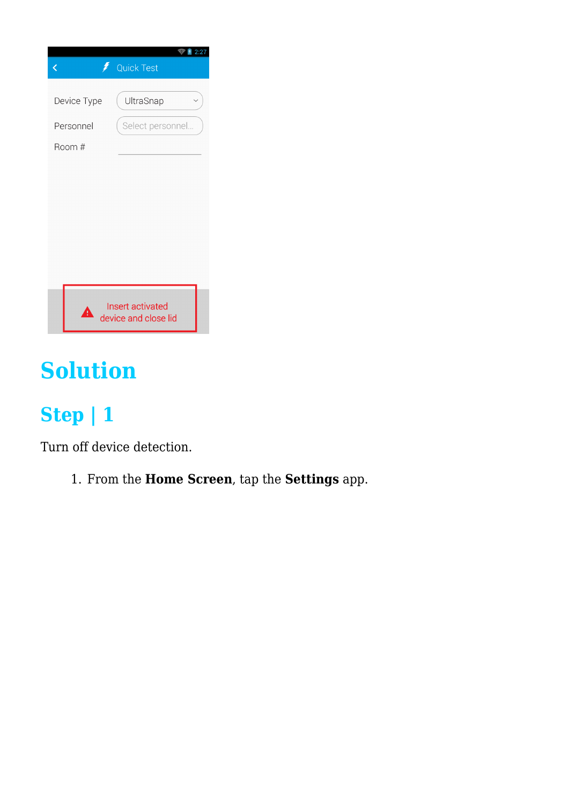|             | 2:27<br><b>Quick Test</b>                |
|-------------|------------------------------------------|
| Device Type | UltraSnap                                |
| Personnel   | Select personnel                         |
| Room #      |                                          |
|             |                                          |
|             |                                          |
|             |                                          |
|             |                                          |
|             |                                          |
|             |                                          |
| Δ           | Insert activated<br>device and close lid |

## **Solution**

#### **Step | 1**

Turn off device detection.

1. From the **Home Screen**, tap the **Settings** app.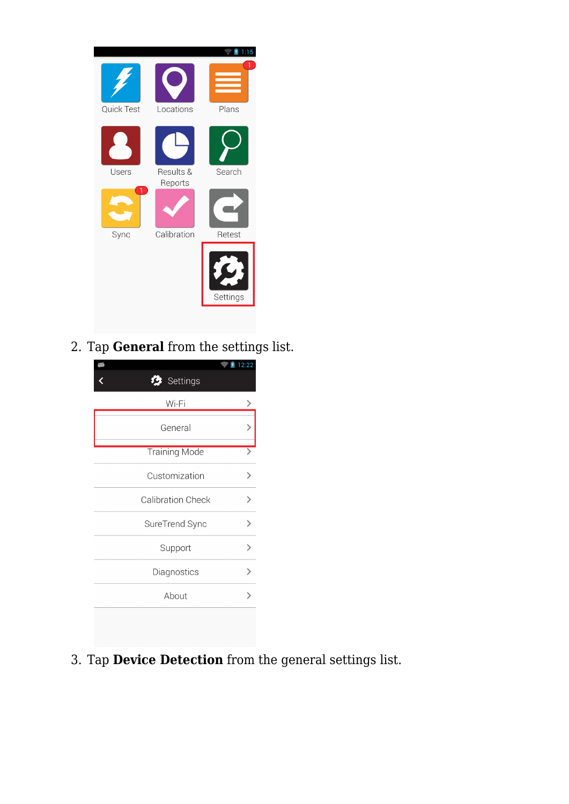

2. Tap **General** from the settings list.

| Settings                 | 12:22 |
|--------------------------|-------|
| Wi-Fi                    |       |
| General                  |       |
| <b>Training Mode</b>     |       |
| Customization            |       |
| <b>Calibration Check</b> |       |
| SureTrend Sync           |       |
| Support                  |       |
| Diagnostics              |       |
| About                    |       |
|                          |       |

3. Tap **Device Detection** from the general settings list.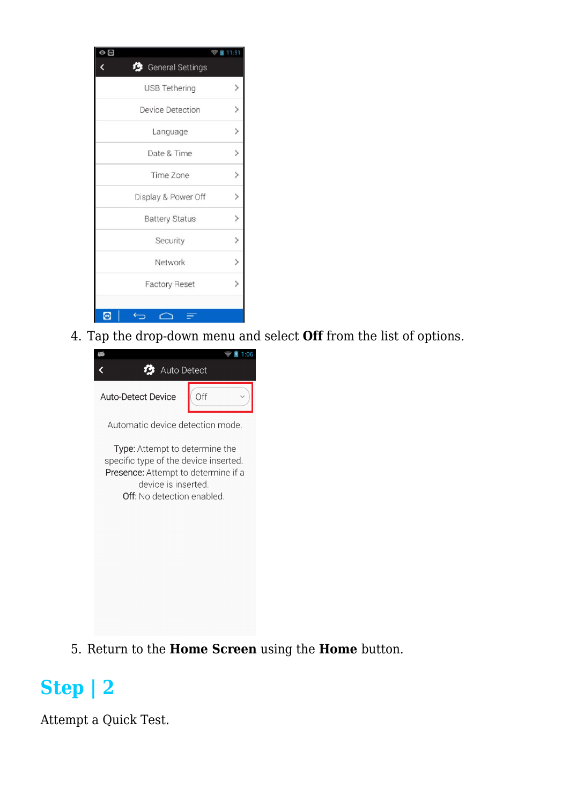| General Settings      |                              |
|-----------------------|------------------------------|
| USB Tethering         |                              |
| Device Detection      | $\mathcal{P}$                |
| Language              | $\left\langle \right\rangle$ |
| Date & Time           |                              |
| Time Zone             |                              |
| Display & Power Off   | ゝ                            |
| <b>Battery Status</b> | $\mathcal{P}$                |
| Security              | $\rightarrow$                |
| Network               | $\overline{\phantom{1}}$     |
| <b>Factory Reset</b>  |                              |
|                       |                              |
| c                     |                              |

4. Tap the drop-down menu and select **Off** from the list of options.



Automatic device detection mode.

Type: Attempt to determine the specific type of the device inserted. Presence: Attempt to determine if a device is inserted. Off: No detection enabled.

5. Return to the **Home Screen** using the **Home** button.

#### **Step | 2**

Attempt a Quick Test.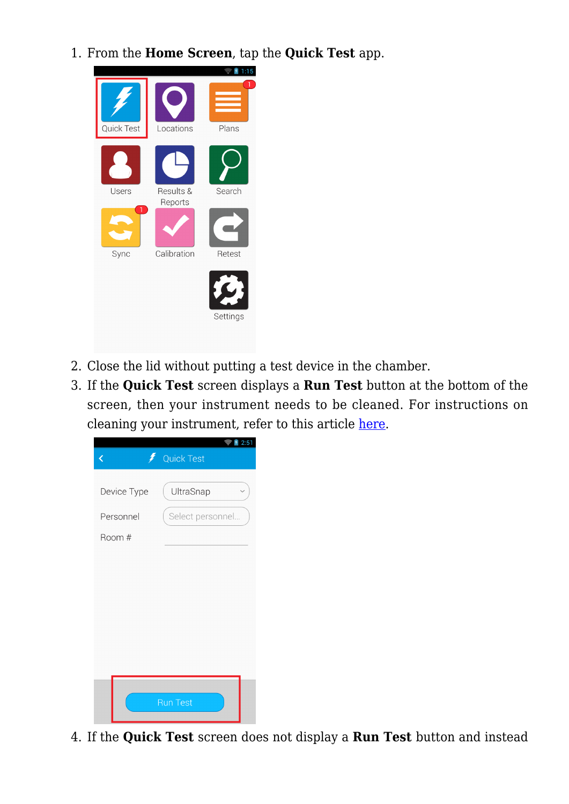1. From the **Home Screen**, tap the **Quick Test** app.



- 2. Close the lid without putting a test device in the chamber.
- 3. If the **Quick Test** screen displays a **Run Test** button at the bottom of the screen, then your instrument needs to be cleaned. For instructions on cleaning your instrument, refer to this article [here](https://help.hygiena.com/kb-doc/how-to-clean-the-instrument/).

|             | 2:51              |
|-------------|-------------------|
| Ĉ           | <b>Quick Test</b> |
|             |                   |
| Device Type | UltraSnap         |
| Personnel   | Select personnel  |
| Room #      |                   |
|             |                   |
|             |                   |
|             |                   |
|             |                   |
|             |                   |
|             |                   |
|             |                   |
|             | <b>Run Test</b>   |
|             |                   |

4. If the **Quick Test** screen does not display a **Run Test** button and instead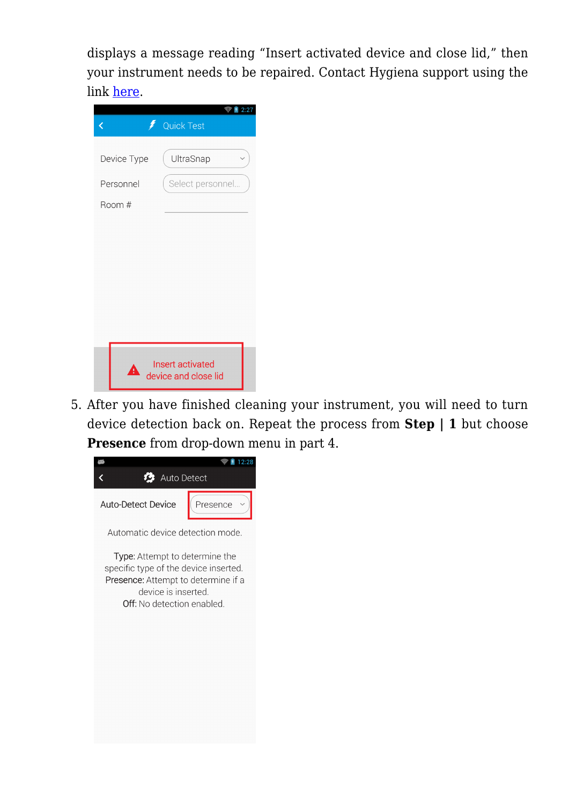displays a message reading "Insert activated device and close lid," then your instrument needs to be repaired. Contact Hygiena support using the link [here](https://www.hygiena.com/hygiena/technical-support-request.html).

| く           | 2:27<br><b>Quick Test</b>                |
|-------------|------------------------------------------|
| Device Type | UltraSnap                                |
| Personnel   | Select personnel                         |
| Room #      |                                          |
|             |                                          |
|             |                                          |
|             |                                          |
|             |                                          |
|             |                                          |
|             |                                          |
| ▲           | Insert activated<br>device and close lid |

5. After you have finished cleaning your instrument, you will need to turn device detection back on. Repeat the process from **Step | 1** but choose **Presence** from drop-down menu in part 4.